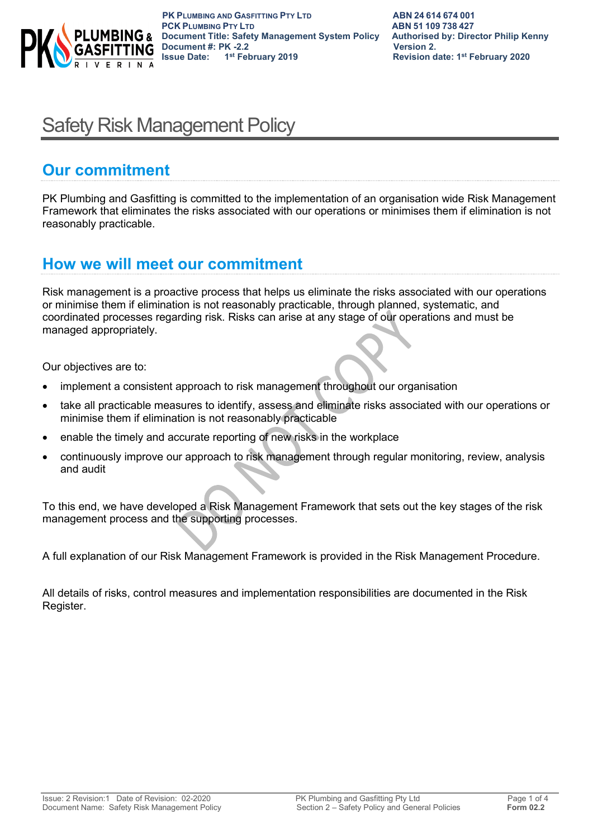

 **PK PLUMBING AND GASFITTING PTY LTD ABN 24614674001**<br> **PCK PLUMBING PTY LTD ABN 51109738427 PCK PLUMBING PTY LTD ABN 51 109 738 427 Document Title: Safety Management System Policy Authorised by: Director Philip Kenny Document #: PK -2.2 Version 2. Issue Date: 1st February 2019 Revision date: 1st February 2020**

# Safety Risk Management Policy

## **Our commitment**

PK Plumbing and Gasfitting is committed to the implementation of an organisation wide Risk Management Framework that eliminates the risks associated with our operations or minimises them if elimination is not reasonably practicable.

### **How we will meet our commitment**

Risk management is a proactive process that helps us eliminate the risks associated with our operations or minimise them if elimination is not reasonably practicable, through planned, systematic, and coordinated processes regarding risk. Risks can arise at any stage of our operations and must be managed appropriately.

Our objectives are to:

- implement a consistent approach to risk management throughout our organisation
- take all practicable measures to identify, assess and eliminate risks associated with our operations or minimise them if elimination is not reasonably practicable
- enable the timely and accurate reporting of new risks in the workplace
- continuously improve our approach to risk management through regular monitoring, review, analysis and audit

To this end, we have developed a Risk Management Framework that sets out the key stages of the risk management process and the supporting processes.

A full explanation of our Risk Management Framework is provided in the Risk Management Procedure.

All details of risks, control measures and implementation responsibilities are documented in the Risk Register.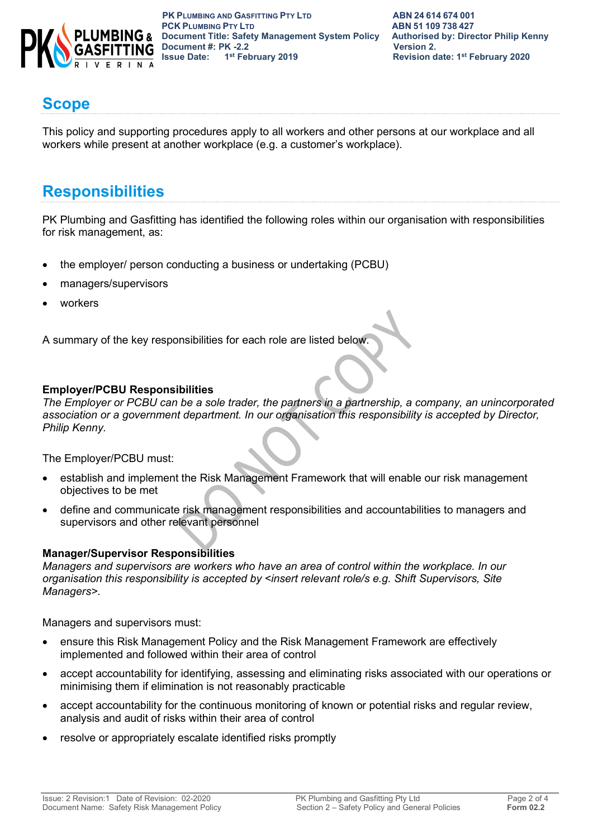

 **PK PLUMBING AND GASFITTING PTY LTD ABN 24614674001**<br> **PCK PLUMBING PTY LTD ABN 51109738427 PCK PLUMBING PTY LTD**<br> **PCK PLUMBING PTY LTD**<br> **Document Title: Safety Management System Policy** Authorised by: Director Philip Kenny **PLUMBING &** Document Title: Safety Management System Policy **Document #: PK -2.2 Version 2.**<br> **1ssue Date:** 1<sup>st</sup> February 2019 **19** Revision d

## **Scope**

This policy and supporting procedures apply to all workers and other persons at our workplace and all workers while present at another workplace (e.g. a customer's workplace).

## **Responsibilities**

PK Plumbing and Gasfitting has identified the following roles within our organisation with responsibilities for risk management, as:

- the employer/ person conducting a business or undertaking (PCBU)
- managers/supervisors
- workers

A summary of the key responsibilities for each role are listed below.

#### **Employer/PCBU Responsibilities**

*The Employer or PCBU can be a sole trader, the partners in a partnership, a company, an unincorporated association or a government department. In our organisation this responsibility is accepted by Director, Philip Kenny.*

The Employer/PCBU must:

- establish and implement the Risk Management Framework that will enable our risk management objectives to be met
- define and communicate risk management responsibilities and accountabilities to managers and supervisors and other relevant personnel

#### **Manager/Supervisor Responsibilities**

*Managers and supervisors are workers who have an area of control within the workplace. In our organisation this responsibility is accepted by <insert relevant role/s e.g. Shift Supervisors, Site Managers>.*

Managers and supervisors must:

- ensure this Risk Management Policy and the Risk Management Framework are effectively implemented and followed within their area of control
- accept accountability for identifying, assessing and eliminating risks associated with our operations or minimising them if elimination is not reasonably practicable
- accept accountability for the continuous monitoring of known or potential risks and regular review, analysis and audit of risks within their area of control
- resolve or appropriately escalate identified risks promptly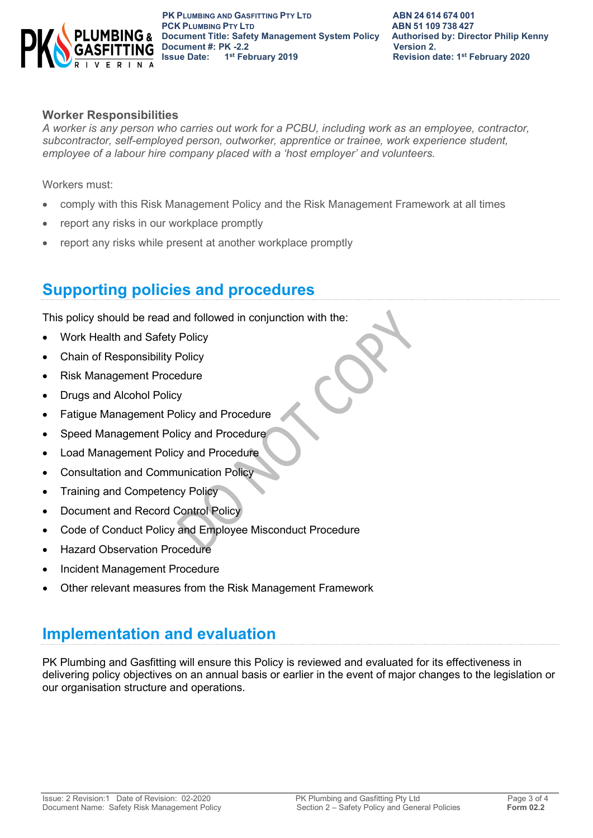

#### **Worker Responsibilities**

*A worker is any person who carries out work for a PCBU, including work as an employee, contractor, subcontractor, self-employed person, outworker, apprentice or trainee, work experience student, employee of a labour hire company placed with a 'host employer' and volunteers.*

Workers must:

- comply with this Risk Management Policy and the Risk Management Framework at all times
- report any risks in our workplace promptly
- report any risks while present at another workplace promptly

## **Supporting policies and procedures**

This policy should be read and followed in conjunction with the:

- Work Health and Safety Policy
- Chain of Responsibility Policy
- Risk Management Procedure
- Drugs and Alcohol Policy
- Fatigue Management Policy and Procedure
- Speed Management Policy and Procedure
- Load Management Policy and Procedure
- Consultation and Communication Policy
- Training and Competency Policy
- Document and Record Control Policy
- Code of Conduct Policy and Employee Misconduct Procedure
- Hazard Observation Procedure
- Incident Management Procedure
- Other relevant measures from the Risk Management Framework

### **Implementation and evaluation**

PK Plumbing and Gasfitting will ensure this Policy is reviewed and evaluated for its effectiveness in delivering policy objectives on an annual basis or earlier in the event of major changes to the legislation or our organisation structure and operations.